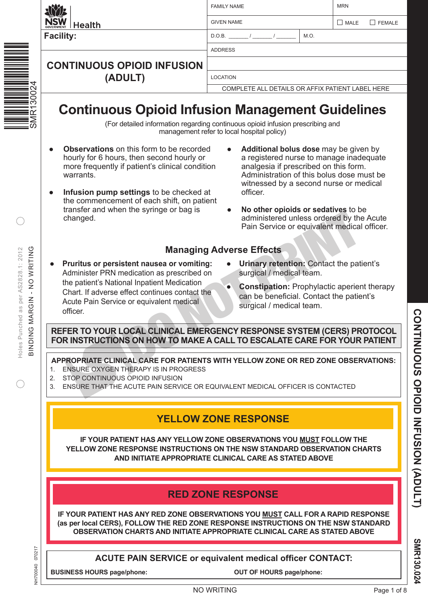|                                                                                                                     |                                                                                                                                                                                                                                                                                                                                                                                                                                                                                                                                                                                                                                                                                                                                                                                                                                              | <b>FAMILY NAME</b>                                                                                                                                                                                                                                                                                                                                                                                                                                                                                                                                                                                                                                                                                                                                                             | <b>MRN</b>            |                                                           |
|---------------------------------------------------------------------------------------------------------------------|----------------------------------------------------------------------------------------------------------------------------------------------------------------------------------------------------------------------------------------------------------------------------------------------------------------------------------------------------------------------------------------------------------------------------------------------------------------------------------------------------------------------------------------------------------------------------------------------------------------------------------------------------------------------------------------------------------------------------------------------------------------------------------------------------------------------------------------------|--------------------------------------------------------------------------------------------------------------------------------------------------------------------------------------------------------------------------------------------------------------------------------------------------------------------------------------------------------------------------------------------------------------------------------------------------------------------------------------------------------------------------------------------------------------------------------------------------------------------------------------------------------------------------------------------------------------------------------------------------------------------------------|-----------------------|-----------------------------------------------------------|
|                                                                                                                     | <b>NSW</b><br><b>Health</b><br><b>Facility:</b>                                                                                                                                                                                                                                                                                                                                                                                                                                                                                                                                                                                                                                                                                                                                                                                              | <b>GIVEN NAME</b><br>M.O.<br>$D.O.B.$ /<br><b>ADDRESS</b>                                                                                                                                                                                                                                                                                                                                                                                                                                                                                                                                                                                                                                                                                                                      | $\Box$ FEMALE<br>MALE |                                                           |
| 4<br>N<br>Ö                                                                                                         | <b>CONTINUOUS OPIOID INFUSION</b><br>(ADULT)                                                                                                                                                                                                                                                                                                                                                                                                                                                                                                                                                                                                                                                                                                                                                                                                 | LOCATION<br>COMPLETE ALL DETAILS OR AFFIX PATIENT LABEL HERE                                                                                                                                                                                                                                                                                                                                                                                                                                                                                                                                                                                                                                                                                                                   |                       |                                                           |
| Ō<br>∞<br>œ<br>⋝<br>2012<br>NO WRITIN<br>AS2828.1:<br>$\mathbf{L}$<br>per<br><b>BINDING MARGIN</b><br>SD<br>Punched | <b>Continuous Opioid Infusion Management Guidelines</b><br><b>Observations</b> on this form to be recorded<br>hourly for 6 hours, then second hourly or<br>more frequently if patient's clinical condition<br>warrants.<br>Infusion pump settings to be checked at<br>$\bullet$<br>the commencement of each shift, on patient<br>transfer and when the syringe or bag is<br>changed.<br>Pruritus or persistent nausea or vomiting:<br>Administer PRN medication as prescribed on<br>the patient's National Inpatient Medication<br>Chart. If adverse effect continues contact the<br>Acute Pain Service or equivalent medical<br>officer.                                                                                                                                                                                                    | (For detailed information regarding continuous opioid infusion prescribing and<br>management refer to local hospital policy)<br>Additional bolus dose may be given by<br>$\bullet$<br>a registered nurse to manage inadequate<br>analgesia if prescribed on this form.<br>Administration of this bolus dose must be<br>witnessed by a second nurse or medical<br>officer.<br>No other opioids or sedatives to be<br>$\bullet$<br>administered unless ordered by the Acute<br>Pain Service or equivalent medical officer.<br><b>Managing Adverse Effects</b><br>Urinary retention: Contact the patient's<br>surgical / medical team.<br><b>Constipation:</b> Prophylactic aperient therapy<br>$\bullet$<br>can be beneficial. Contact the patient's<br>surgical / medical team. |                       |                                                           |
| Holes                                                                                                               | REFER TO YOUR LOCAL CLINICAL EMERGENCY RESPONSE SYSTEM (CERS) PROTOCOL<br>FOR INSTRUCTIONS ON HOW TO MAKE A CALL TO ESCALATE CARE FOR YOUR PATIENT<br>APPROPRIATE CLINICAL CARE FOR PATIENTS WITH YELLOW ZONE OR RED ZONE OBSERVATIONS:<br>ENSURE OXYGEN THERAPY IS IN PROGRESS<br>1 <sub>1</sub><br>STOP CONTINUOUS OPIOID INFUSION<br>2.<br>3.<br>ENSURE THAT THE ACUTE PAIN SERVICE OR EQUIVALENT MEDICAL OFFICER IS CONTACTED<br>IF YOUR PATIENT HAS ANY YELLOW ZONE OBSERVATIONS YOU MUST FOLLOW THE<br>YELLOW ZONE RESPONSE INSTRUCTIONS ON THE NSW STANDARD OBSERVATION CHARTS<br>IF YOUR PATIENT HAS ANY RED ZONE OBSERVATIONS YOU MUST CALL FOR A RAPID RESPONSE<br>(as per local CERS), FOLLOW THE RED ZONE RESPONSE INSTRUCTIONS ON THE NSW STANDARD<br>OBSERVATION CHARTS AND INITIATE APPROPRIATE CLINICAL CARE AS STATED ABOVE | <b>YELLOW ZONE RESPONSE</b><br>AND INITIATE APPROPRIATE CLINICAL CARE AS STATED ABOVE<br><b>RED ZONE RESPONSE</b>                                                                                                                                                                                                                                                                                                                                                                                                                                                                                                                                                                                                                                                              |                       | <b>CONTINUOUS</b><br>OPIOID<br><b>INFUSION</b><br>(ADULT) |
| 070217<br>JH700040                                                                                                  | <b>BUSINESS HOURS page/phone:</b>                                                                                                                                                                                                                                                                                                                                                                                                                                                                                                                                                                                                                                                                                                                                                                                                            | <b>ACUTE PAIN SERVICE or equivalent medical officer CONTACT:</b><br><b>OUT OF HOURS page/phone:</b>                                                                                                                                                                                                                                                                                                                                                                                                                                                                                                                                                                                                                                                                            |                       | SMR130.024                                                |

## **ACUTE PAIN SERVICE or equivalent medical officer CONTACT:**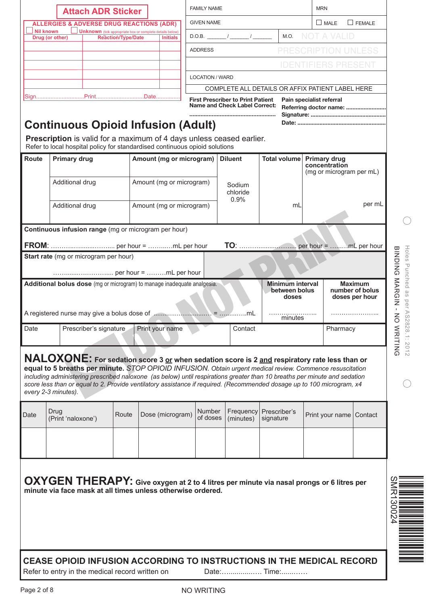|              |                                       | <b>Attach ADR Sticker</b>                                                                                                                                                                                                                                                                                                                                                                                                                                                                     | <b>FAMILY NAME</b>     |                                                                                  |                                                  | <b>MRN</b> |                                                                  |                                   |
|--------------|---------------------------------------|-----------------------------------------------------------------------------------------------------------------------------------------------------------------------------------------------------------------------------------------------------------------------------------------------------------------------------------------------------------------------------------------------------------------------------------------------------------------------------------------------|------------------------|----------------------------------------------------------------------------------|--------------------------------------------------|------------|------------------------------------------------------------------|-----------------------------------|
|              |                                       | <b>ALLERGIES &amp; ADVERSE DRUG REACTIONS (ADR)</b>                                                                                                                                                                                                                                                                                                                                                                                                                                           | <b>GIVEN NAME</b>      |                                                                                  |                                                  |            | $\Box$ MALE                                                      | $\Box$ FEMALE                     |
|              | <b>Nil known</b><br>Drug (or other)   | <b>Unknown</b> (tick appropriate box or complete details below)<br><b>Reaction/Type/Date</b><br><b>Initials</b>                                                                                                                                                                                                                                                                                                                                                                               |                        | $D.O.B.$ $/$ $/$ $/$                                                             | M.O.                                             |            | NOT A VALID                                                      |                                   |
|              |                                       |                                                                                                                                                                                                                                                                                                                                                                                                                                                                                               | <b>ADDRESS</b>         |                                                                                  |                                                  |            | <b>PRESCRIPTION UNLESS</b>                                       |                                   |
|              |                                       |                                                                                                                                                                                                                                                                                                                                                                                                                                                                                               |                        |                                                                                  |                                                  |            | IDENTIFIERS PRESENT                                              |                                   |
|              |                                       |                                                                                                                                                                                                                                                                                                                                                                                                                                                                                               | <b>LOCATION / WARD</b> |                                                                                  |                                                  |            |                                                                  |                                   |
|              |                                       |                                                                                                                                                                                                                                                                                                                                                                                                                                                                                               |                        |                                                                                  | COMPLETE ALL DETAILS OR AFFIX PATIENT LABEL HERE |            |                                                                  |                                   |
|              |                                       |                                                                                                                                                                                                                                                                                                                                                                                                                                                                                               |                        | <b>First Prescriber to Print Patient</b><br><b>Name and Check Label Correct:</b> | Pain specialist referral                         |            |                                                                  | Referring doctor name:            |
|              |                                       | <b>Continuous Opioid Infusion (Adult)</b>                                                                                                                                                                                                                                                                                                                                                                                                                                                     |                        |                                                                                  |                                                  |            |                                                                  |                                   |
|              |                                       | Prescription is valid for a maximum of 4 days unless ceased earlier.                                                                                                                                                                                                                                                                                                                                                                                                                          |                        |                                                                                  |                                                  |            |                                                                  |                                   |
|              |                                       | Refer to local hospital policy for standardised continuous opioid solutions                                                                                                                                                                                                                                                                                                                                                                                                                   |                        |                                                                                  |                                                  |            |                                                                  |                                   |
| <b>Route</b> | <b>Primary drug</b>                   | Amount (mg or microgram)   Diluent                                                                                                                                                                                                                                                                                                                                                                                                                                                            |                        |                                                                                  | Total volume                                     |            | <b>Primary drug</b><br>concentration<br>(mg or microgram per mL) |                                   |
|              | Additional drug                       | Amount (mg or microgram)                                                                                                                                                                                                                                                                                                                                                                                                                                                                      |                        | Sodium<br>chloride                                                               |                                                  |            |                                                                  |                                   |
|              | Additional drug                       | Amount (mg or microgram)                                                                                                                                                                                                                                                                                                                                                                                                                                                                      |                        | 0.9%                                                                             | mL                                               |            |                                                                  | per mL                            |
|              |                                       | Continuous infusion range (mg or microgram per hour)                                                                                                                                                                                                                                                                                                                                                                                                                                          |                        |                                                                                  |                                                  |            |                                                                  |                                   |
|              |                                       |                                                                                                                                                                                                                                                                                                                                                                                                                                                                                               |                        |                                                                                  |                                                  |            |                                                                  |                                   |
|              |                                       |                                                                                                                                                                                                                                                                                                                                                                                                                                                                                               |                        |                                                                                  |                                                  |            |                                                                  |                                   |
|              | Start rate (mg or microgram per hour) |                                                                                                                                                                                                                                                                                                                                                                                                                                                                                               |                        |                                                                                  |                                                  |            |                                                                  |                                   |
|              |                                       |                                                                                                                                                                                                                                                                                                                                                                                                                                                                                               |                        |                                                                                  |                                                  |            |                                                                  |                                   |
|              |                                       |                                                                                                                                                                                                                                                                                                                                                                                                                                                                                               |                        |                                                                                  |                                                  |            |                                                                  |                                   |
|              |                                       | Additional bolus dose (mg or microgram) to manage inadequate analgesia.                                                                                                                                                                                                                                                                                                                                                                                                                       |                        |                                                                                  | <b>Minimum interval</b><br>between bolus         |            |                                                                  | <b>Maximum</b>                    |
|              |                                       |                                                                                                                                                                                                                                                                                                                                                                                                                                                                                               |                        |                                                                                  | doses                                            |            |                                                                  | number of bolus<br>doses per hour |
|              |                                       |                                                                                                                                                                                                                                                                                                                                                                                                                                                                                               |                        |                                                                                  |                                                  |            |                                                                  |                                   |
| Date         | Prescriber's signature                |                                                                                                                                                                                                                                                                                                                                                                                                                                                                                               |                        | Contact                                                                          | minutes                                          |            |                                                                  |                                   |
|              |                                       | Print your name                                                                                                                                                                                                                                                                                                                                                                                                                                                                               |                        |                                                                                  |                                                  |            | Pharmacy                                                         |                                   |
| Date         | every 2-3 minutes).<br>Drug           | NALOXONE: For sedation score 3 or when sedation score is 2 and respiratory rate less than or<br>equal to 5 breaths per minute. STOP OPIOID INFUSION. Obtain urgent medical review. Commence resuscitation<br>including administering prescribed naloxone (as below) until respirations greater than 10 breaths per minute and sedation<br>score less than or equal to 2. Provide ventilatory assistance if required. (Recommended dosage up to 100 microgram, x4<br>Dose (microgram)<br>Route | <b>Number</b>          | Frequency                                                                        | Prescriber's                                     |            | Print your name   Contact                                        |                                   |
|              | (Print 'naloxone')                    |                                                                                                                                                                                                                                                                                                                                                                                                                                                                                               | of doses               | (minutes)                                                                        | signature                                        |            |                                                                  |                                   |
|              |                                       |                                                                                                                                                                                                                                                                                                                                                                                                                                                                                               |                        |                                                                                  |                                                  |            |                                                                  |                                   |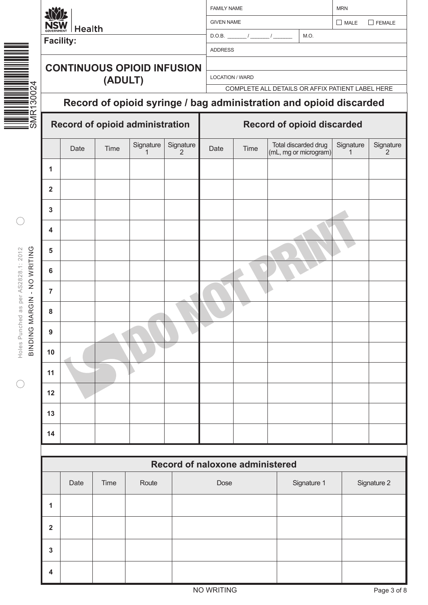|                                       |                |                  |         |                                 |                                                                    | <b>FAMILY NAME</b>     |                                |                                               | <b>MRN</b>                                       |                |
|---------------------------------------|----------------|------------------|---------|---------------------------------|--------------------------------------------------------------------|------------------------|--------------------------------|-----------------------------------------------|--------------------------------------------------|----------------|
|                                       |                | <b>Health</b>    |         |                                 |                                                                    | <b>GIVEN NAME</b>      |                                |                                               | $\Box$ MALE                                      | $\Box$ FEMALE  |
|                                       |                | <b>Facility:</b> |         |                                 |                                                                    | <b>ADDRESS</b>         | D.O.B. $\frac{1}{\sqrt{2\pi}}$ | M.O.                                          |                                                  |                |
|                                       |                |                  |         |                                 |                                                                    |                        |                                |                                               |                                                  |                |
|                                       |                |                  | (ADULT) |                                 | <b>CONTINUOUS OPIOID INFUSION</b>                                  | <b>LOCATION / WARD</b> |                                |                                               |                                                  |                |
| 130024                                |                |                  |         |                                 |                                                                    |                        |                                |                                               | COMPLETE ALL DETAILS OR AFFIX PATIENT LABEL HERE |                |
| $\tilde{\mathbf{r}}$                  |                |                  |         |                                 | Record of opioid syringe / bag administration and opioid discarded |                        |                                |                                               |                                                  |                |
| IIMS                                  |                |                  |         | Record of opioid administration |                                                                    |                        |                                | <b>Record of opioid discarded</b>             |                                                  |                |
|                                       |                | Date             | Time    | Signature<br>1                  | Signature<br>$\overline{2}$                                        | Date                   | Time                           | Total discarded drug<br>(mL, mg or microgram) | Signature<br>$\mathbf{1}$                        | Signature<br>2 |
|                                       | 1              |                  |         |                                 |                                                                    |                        |                                |                                               |                                                  |                |
|                                       | $\overline{2}$ |                  |         |                                 |                                                                    |                        |                                |                                               |                                                  |                |
|                                       | $\mathbf{3}$   |                  |         |                                 |                                                                    |                        |                                |                                               |                                                  |                |
|                                       | 4              |                  |         |                                 |                                                                    |                        |                                |                                               |                                                  |                |
|                                       | 5              |                  |         |                                 |                                                                    |                        |                                |                                               |                                                  |                |
| - NO WRITING<br>as per AS2828.1: 2012 | 6              |                  |         |                                 |                                                                    |                        |                                |                                               |                                                  |                |
|                                       | $\overline{7}$ |                  |         |                                 |                                                                    |                        |                                |                                               |                                                  |                |
| <b>BINDING MARGIN</b>                 | 8              |                  |         |                                 |                                                                    |                        |                                |                                               |                                                  |                |
| Holes Punched                         | 9              |                  |         |                                 |                                                                    |                        |                                |                                               |                                                  |                |
|                                       | 10             |                  |         |                                 |                                                                    |                        |                                |                                               |                                                  |                |
|                                       | 11             |                  |         |                                 |                                                                    |                        |                                |                                               |                                                  |                |
|                                       | 12             |                  |         |                                 |                                                                    |                        |                                |                                               |                                                  |                |
|                                       | 13             |                  |         |                                 |                                                                    |                        |                                |                                               |                                                  |                |
|                                       | 14             |                  |         |                                 |                                                                    |                        |                                |                                               |                                                  |                |
|                                       |                |                  |         |                                 |                                                                    |                        |                                |                                               |                                                  |                |
|                                       |                |                  |         |                                 | Record of naloxone administered                                    |                        |                                |                                               |                                                  |                |
|                                       |                | Date             | Time    | Route                           |                                                                    | Dose                   |                                | Signature 1                                   |                                                  | Signature 2    |
|                                       | 1              |                  |         |                                 |                                                                    |                        |                                |                                               |                                                  |                |
|                                       | $\overline{2}$ |                  |         |                                 |                                                                    |                        |                                |                                               |                                                  |                |
|                                       | $\mathbf{3}$   |                  |         |                                 |                                                                    |                        |                                |                                               |                                                  |                |
|                                       | 4              |                  |         |                                 |                                                                    |                        |                                |                                               |                                                  |                |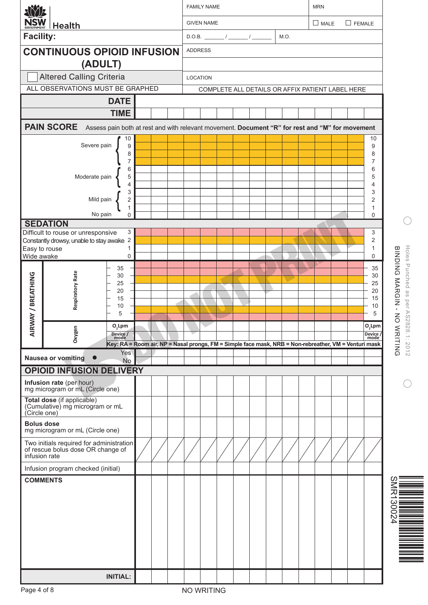| NYI:                              |                                                                             |                                                                                                                           |  |                | <b>FAMILY NAME</b> |  |                                                  |      | <b>MRN</b>  |               |                     |                               |
|-----------------------------------|-----------------------------------------------------------------------------|---------------------------------------------------------------------------------------------------------------------------|--|----------------|--------------------|--|--------------------------------------------------|------|-------------|---------------|---------------------|-------------------------------|
| <b>NSW</b>                        | <b>Health</b>                                                               |                                                                                                                           |  |                | <b>GIVEN NAME</b>  |  |                                                  |      | $\Box$ MALE | $\Box$ FEMALE |                     |                               |
| <b>Facility:</b>                  |                                                                             |                                                                                                                           |  |                |                    |  |                                                  | M.O. |             |               |                     |                               |
|                                   | <b>CONTINUOUS OPIOID INFUSION</b>                                           |                                                                                                                           |  | <b>ADDRESS</b> |                    |  |                                                  |      |             |               |                     |                               |
|                                   | (ADULT)                                                                     |                                                                                                                           |  |                |                    |  |                                                  |      |             |               |                     |                               |
|                                   | <b>Altered Calling Criteria</b>                                             |                                                                                                                           |  | LOCATION       |                    |  |                                                  |      |             |               |                     |                               |
|                                   | ALL OBSERVATIONS MUST BE GRAPHED                                            |                                                                                                                           |  |                |                    |  | COMPLETE ALL DETAILS OR AFFIX PATIENT LABEL HERE |      |             |               |                     |                               |
|                                   |                                                                             | <b>DATE</b>                                                                                                               |  |                |                    |  |                                                  |      |             |               |                     |                               |
|                                   |                                                                             | <b>TIME</b>                                                                                                               |  |                |                    |  |                                                  |      |             |               |                     |                               |
| <b>PAIN SCORE</b>                 |                                                                             | Assess pain both at rest and with relevant movement. Document "R" for rest and "M" for movement                           |  |                |                    |  |                                                  |      |             |               |                     |                               |
|                                   |                                                                             | 10                                                                                                                        |  |                |                    |  |                                                  |      |             |               | 10                  |                               |
|                                   | Severe pain                                                                 | 9<br>8                                                                                                                    |  |                |                    |  |                                                  |      |             |               | 9<br>8              |                               |
|                                   |                                                                             | $\overline{7}$                                                                                                            |  |                |                    |  |                                                  |      |             |               | $\overline{7}$      |                               |
|                                   | Moderate pain                                                               | 6<br>5                                                                                                                    |  |                |                    |  |                                                  |      |             |               | 6<br>5              |                               |
|                                   |                                                                             | 4                                                                                                                         |  |                |                    |  |                                                  |      |             |               | $\overline{4}$      |                               |
|                                   | Mild pain                                                                   | 3<br>$\overline{2}$                                                                                                       |  |                |                    |  |                                                  |      |             |               | 3<br>$\overline{2}$ |                               |
|                                   |                                                                             | $\mathbf{1}$                                                                                                              |  |                |                    |  |                                                  |      |             |               | 1                   |                               |
| <b>SEDATION</b>                   | No pain                                                                     | $\Omega$                                                                                                                  |  |                |                    |  |                                                  |      |             |               | $\Omega$            |                               |
|                                   | Difficult to rouse or unresponsive                                          | 3                                                                                                                         |  |                |                    |  |                                                  |      |             |               | 3                   |                               |
| Easy to rouse                     | Constantly drowsy, unable to stay awake 2                                   | $\mathbf{1}$                                                                                                              |  |                |                    |  |                                                  |      |             |               | $\overline{c}$<br>1 |                               |
| Wide awake                        |                                                                             | $\mathbf 0$                                                                                                               |  |                |                    |  |                                                  |      |             |               | $\Omega$            | BINDING MARGIN -              |
|                                   |                                                                             | 35                                                                                                                        |  |                |                    |  |                                                  |      |             |               | 35                  | Holes Punched as per          |
| VAY / BREATHING                   | <b>Respiratory Rate</b>                                                     | 30<br>25                                                                                                                  |  |                |                    |  |                                                  |      |             |               | 30<br>25            |                               |
|                                   |                                                                             | 20                                                                                                                        |  |                |                    |  |                                                  |      |             |               | 20                  |                               |
|                                   |                                                                             | 15<br>10                                                                                                                  |  |                |                    |  |                                                  |      |             |               | 15<br>10            |                               |
|                                   |                                                                             | 5                                                                                                                         |  |                |                    |  |                                                  |      |             |               | 5                   | $\Delta S2$<br>$\overline{5}$ |
| <b>AIRM</b>                       |                                                                             | $O_2$ Lpm                                                                                                                 |  |                |                    |  |                                                  |      |             |               | $O_2$ Lpm           | 828.1:                        |
|                                   | Oxygen                                                                      | Device /<br>mode<br>Key: RA = Room air, NP = Nasal prongs, FM = Simple face mask, NRB = Non-rebreather, VM = Venturi mask |  |                |                    |  |                                                  |      |             |               | Device /<br>mode    | <b>WRITING</b>                |
|                                   |                                                                             | Yes                                                                                                                       |  |                |                    |  |                                                  |      |             |               |                     | 2012                          |
| <b>Nausea or vomiting</b>         | $\bullet$                                                                   | <b>No</b>                                                                                                                 |  |                |                    |  |                                                  |      |             |               |                     |                               |
|                                   | <b>OPIOID INFUSION DELIVERY</b>                                             |                                                                                                                           |  |                |                    |  |                                                  |      |             |               |                     |                               |
| Infusion rate (per hour)          | mg microgram or mL (Circle one)                                             |                                                                                                                           |  |                |                    |  |                                                  |      |             |               |                     |                               |
| Total dose (if applicable)        | (Cumulative) mg microgram or mL                                             |                                                                                                                           |  |                |                    |  |                                                  |      |             |               |                     |                               |
| (Circle one)<br><b>Bolus dose</b> |                                                                             |                                                                                                                           |  |                |                    |  |                                                  |      |             |               |                     |                               |
|                                   | mg microgram or mL (Circle one)<br>Two initials required for administration |                                                                                                                           |  |                |                    |  |                                                  |      |             |               |                     |                               |
| infusion rate                     | of rescue bolus dose OR change of                                           |                                                                                                                           |  |                |                    |  |                                                  |      |             |               |                     |                               |
|                                   | Infusion program checked (initial)                                          |                                                                                                                           |  |                |                    |  |                                                  |      |             |               |                     |                               |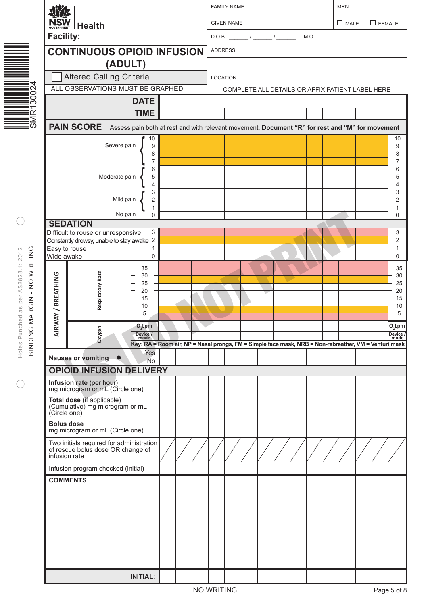|                                | Health                            |                                                                                                                                                                                                                                                                                      |                                                                                                                                                                                                                                                                                                                                                                                        |                                                                             |                                  |                                   |                                          |                                         |  |      |            |             |                                                                                                                                                                                                                                                                               |
|--------------------------------|-----------------------------------|--------------------------------------------------------------------------------------------------------------------------------------------------------------------------------------------------------------------------------------------------------------------------------------|----------------------------------------------------------------------------------------------------------------------------------------------------------------------------------------------------------------------------------------------------------------------------------------------------------------------------------------------------------------------------------------|-----------------------------------------------------------------------------|----------------------------------|-----------------------------------|------------------------------------------|-----------------------------------------|--|------|------------|-------------|-------------------------------------------------------------------------------------------------------------------------------------------------------------------------------------------------------------------------------------------------------------------------------|
|                                |                                   |                                                                                                                                                                                                                                                                                      |                                                                                                                                                                                                                                                                                                                                                                                        |                                                                             |                                  |                                   |                                          |                                         |  |      |            |             |                                                                                                                                                                                                                                                                               |
|                                |                                   |                                                                                                                                                                                                                                                                                      |                                                                                                                                                                                                                                                                                                                                                                                        |                                                                             |                                  |                                   |                                          |                                         |  |      |            |             |                                                                                                                                                                                                                                                                               |
|                                |                                   |                                                                                                                                                                                                                                                                                      |                                                                                                                                                                                                                                                                                                                                                                                        |                                                                             |                                  |                                   |                                          |                                         |  |      |            |             |                                                                                                                                                                                                                                                                               |
|                                |                                   |                                                                                                                                                                                                                                                                                      |                                                                                                                                                                                                                                                                                                                                                                                        |                                                                             |                                  |                                   |                                          |                                         |  |      |            |             |                                                                                                                                                                                                                                                                               |
|                                |                                   | <b>DATE</b>                                                                                                                                                                                                                                                                          |                                                                                                                                                                                                                                                                                                                                                                                        |                                                                             |                                  |                                   |                                          |                                         |  |      |            |             |                                                                                                                                                                                                                                                                               |
|                                |                                   | <b>TIME</b>                                                                                                                                                                                                                                                                          |                                                                                                                                                                                                                                                                                                                                                                                        |                                                                             |                                  |                                   |                                          |                                         |  |      |            |             |                                                                                                                                                                                                                                                                               |
|                                |                                   |                                                                                                                                                                                                                                                                                      |                                                                                                                                                                                                                                                                                                                                                                                        |                                                                             |                                  |                                   |                                          |                                         |  |      |            |             |                                                                                                                                                                                                                                                                               |
| VAY / BREATHING<br><b>AIRM</b> | <b>Respiratory Rate</b><br>Oxygen | 10<br>9<br>8<br>7<br>6<br>5<br>4<br>3<br>2<br>$\mathbf{1}$<br>0<br>$\ensuremath{\mathsf{3}}$<br>1<br>0<br>35<br>30<br>25<br>20<br>15<br>10<br>5<br>$O_2$ Lpm<br>Device /<br>mode                                                                                                     |                                                                                                                                                                                                                                                                                                                                                                                        |                                                                             |                                  |                                   |                                          |                                         |  |      |            |             | 10<br>9<br>8<br>7<br>6<br>5<br>4<br>3<br>$\overline{2}$<br>1<br>0<br>3<br>2<br>1<br>0<br>35<br>30<br>25<br>20<br>15<br>10<br>5<br>$O_2$ Lpm<br>Device /<br>mode                                                                                                               |
|                                | $\bullet$                         | Yes                                                                                                                                                                                                                                                                                  |                                                                                                                                                                                                                                                                                                                                                                                        |                                                                             |                                  |                                   |                                          |                                         |  |      |            |             |                                                                                                                                                                                                                                                                               |
|                                |                                   |                                                                                                                                                                                                                                                                                      |                                                                                                                                                                                                                                                                                                                                                                                        |                                                                             |                                  |                                   |                                          |                                         |  |      |            |             |                                                                                                                                                                                                                                                                               |
|                                |                                   |                                                                                                                                                                                                                                                                                      |                                                                                                                                                                                                                                                                                                                                                                                        |                                                                             |                                  |                                   |                                          |                                         |  |      |            |             |                                                                                                                                                                                                                                                                               |
|                                |                                   |                                                                                                                                                                                                                                                                                      |                                                                                                                                                                                                                                                                                                                                                                                        |                                                                             |                                  |                                   |                                          |                                         |  |      |            |             |                                                                                                                                                                                                                                                                               |
|                                |                                   |                                                                                                                                                                                                                                                                                      |                                                                                                                                                                                                                                                                                                                                                                                        |                                                                             |                                  |                                   |                                          |                                         |  |      |            |             |                                                                                                                                                                                                                                                                               |
|                                |                                   |                                                                                                                                                                                                                                                                                      |                                                                                                                                                                                                                                                                                                                                                                                        |                                                                             |                                  |                                   |                                          |                                         |  |      |            |             |                                                                                                                                                                                                                                                                               |
|                                |                                   |                                                                                                                                                                                                                                                                                      |                                                                                                                                                                                                                                                                                                                                                                                        |                                                                             |                                  |                                   |                                          |                                         |  |      |            |             |                                                                                                                                                                                                                                                                               |
|                                |                                   |                                                                                                                                                                                                                                                                                      |                                                                                                                                                                                                                                                                                                                                                                                        |                                                                             |                                  |                                   |                                          |                                         |  |      |            |             |                                                                                                                                                                                                                                                                               |
|                                |                                   | <b>INITIAL:</b>                                                                                                                                                                                                                                                                      |                                                                                                                                                                                                                                                                                                                                                                                        |                                                                             |                                  |                                   |                                          |                                         |  |      |            |             |                                                                                                                                                                                                                                                                               |
|                                |                                   |                                                                                                                                                                                                                                                                                      |                                                                                                                                                                                                                                                                                                                                                                                        |                                                                             |                                  |                                   |                                          |                                         |  |      |            |             | Page 5 of 8                                                                                                                                                                                                                                                                   |
|                                |                                   | <b>AVYE</b><br><b>NSW</b><br><b>Facility:</b><br><b>PAIN SCORE</b><br><b>SEDATION</b><br>Easy to rouse<br>Wide awake<br><b>Nausea or vomiting</b><br>Infusion rate (per hour)<br>Total dose (if applicable)<br>(Circle one)<br><b>Bolus dose</b><br>infusion rate<br><b>COMMENTS</b> | (ADULT)<br><b>Altered Calling Criteria</b><br>Severe pain<br>Moderate pain<br>Mild pain<br>No pain<br>Difficult to rouse or unresponsive<br>Constantly drowsy, unable to stay awake 2<br><b>No</b><br>mg microgram or mL (Circle one)<br>(Cumulative) mg microgram or mL<br>mg microgram or mL (Circle one)<br>of rescue bolus dose OR change of<br>Infusion program checked (initial) | <b>OPIOID INFUSION DELIVERY</b><br>Two initials required for administration | ALL OBSERVATIONS MUST BE GRAPHED | <b>CONTINUOUS OPIOID INFUSION</b> | <b>ADDRESS</b><br>LOCATION<br>NO WRITING | <b>FAMILY NAME</b><br><b>GIVEN NAME</b> |  | M.O. | <b>MRN</b> | $\Box$ MALE | $\Box$ FEMALE<br>COMPLETE ALL DETAILS OR AFFIX PATIENT LABEL HERE<br>Assess pain both at rest and with relevant movement. Document "R" for rest and "M" for movement<br>Key: RA = Room air, NP = Nasal prongs, FM = Simple face mask, NRB = Non-rebreather, VM = Venturi mask |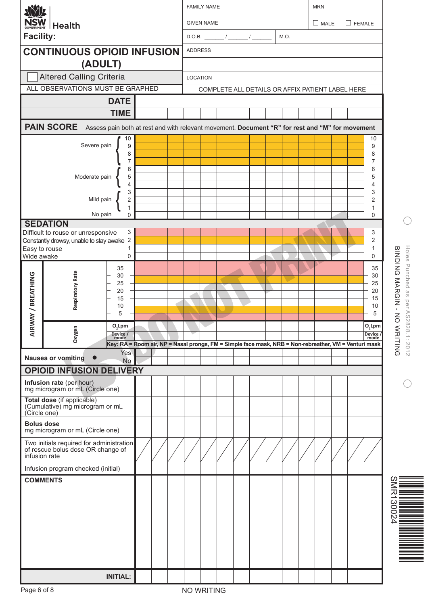| NYI:                              |                                                                             |                                                                                                                           |  |                | <b>FAMILY NAME</b> |  |                                                  |      | <b>MRN</b>  |               |                              |                               |
|-----------------------------------|-----------------------------------------------------------------------------|---------------------------------------------------------------------------------------------------------------------------|--|----------------|--------------------|--|--------------------------------------------------|------|-------------|---------------|------------------------------|-------------------------------|
| <b>NSW</b>                        | <b>Health</b>                                                               |                                                                                                                           |  |                | <b>GIVEN NAME</b>  |  |                                                  |      | $\Box$ MALE | $\Box$ FEMALE |                              |                               |
| <b>Facility:</b>                  |                                                                             |                                                                                                                           |  |                |                    |  |                                                  | M.O. |             |               |                              |                               |
|                                   | <b>CONTINUOUS OPIOID INFUSION</b>                                           |                                                                                                                           |  | <b>ADDRESS</b> |                    |  |                                                  |      |             |               |                              |                               |
|                                   | (ADULT)                                                                     |                                                                                                                           |  |                |                    |  |                                                  |      |             |               |                              |                               |
|                                   | <b>Altered Calling Criteria</b>                                             |                                                                                                                           |  | LOCATION       |                    |  |                                                  |      |             |               |                              |                               |
|                                   | ALL OBSERVATIONS MUST BE GRAPHED                                            |                                                                                                                           |  |                |                    |  | COMPLETE ALL DETAILS OR AFFIX PATIENT LABEL HERE |      |             |               |                              |                               |
|                                   |                                                                             | <b>DATE</b>                                                                                                               |  |                |                    |  |                                                  |      |             |               |                              |                               |
|                                   |                                                                             | <b>TIME</b>                                                                                                               |  |                |                    |  |                                                  |      |             |               |                              |                               |
| <b>PAIN SCORE</b>                 |                                                                             | Assess pain both at rest and with relevant movement. Document "R" for rest and "M" for movement                           |  |                |                    |  |                                                  |      |             |               |                              |                               |
|                                   |                                                                             | 10                                                                                                                        |  |                |                    |  |                                                  |      |             |               | 10                           |                               |
|                                   | Severe pain                                                                 | 9<br>8                                                                                                                    |  |                |                    |  |                                                  |      |             |               | 9<br>8                       |                               |
|                                   |                                                                             | $\overline{7}$                                                                                                            |  |                |                    |  |                                                  |      |             |               | $\overline{7}$               |                               |
|                                   | Moderate pain                                                               | 6<br>5                                                                                                                    |  |                |                    |  |                                                  |      |             |               | 6<br>5                       |                               |
|                                   |                                                                             | 4                                                                                                                         |  |                |                    |  |                                                  |      |             |               | $\overline{4}$               |                               |
|                                   | Mild pain                                                                   | 3<br>$\overline{2}$                                                                                                       |  |                |                    |  |                                                  |      |             |               | 3<br>$\overline{2}$          |                               |
|                                   |                                                                             | $\mathbf{1}$                                                                                                              |  |                |                    |  |                                                  |      |             |               | 1                            |                               |
| <b>SEDATION</b>                   | No pain                                                                     | $\Omega$                                                                                                                  |  |                |                    |  |                                                  |      |             |               | $\Omega$                     |                               |
|                                   | Difficult to rouse or unresponsive                                          | 3                                                                                                                         |  |                |                    |  |                                                  |      |             |               | 3                            |                               |
| Easy to rouse                     | Constantly drowsy, unable to stay awake 2                                   | $\mathbf{1}$                                                                                                              |  |                |                    |  |                                                  |      |             |               | $\overline{\mathbf{c}}$<br>1 |                               |
| Wide awake                        |                                                                             | $\mathbf 0$                                                                                                               |  |                |                    |  |                                                  |      |             |               | $\Omega$                     | BINDING MARGIN -              |
|                                   |                                                                             | 35                                                                                                                        |  |                |                    |  |                                                  |      |             |               | 35                           | Holes Punched as per          |
| VAY / BREATHING                   | <b>Respiratory Rate</b>                                                     | 30<br>25                                                                                                                  |  |                |                    |  |                                                  |      |             |               | 30<br>25                     |                               |
|                                   |                                                                             | 20                                                                                                                        |  |                |                    |  |                                                  |      |             |               | 20                           |                               |
|                                   |                                                                             | 15<br>10                                                                                                                  |  |                |                    |  |                                                  |      |             |               | 15<br>10                     |                               |
|                                   |                                                                             | 5                                                                                                                         |  |                |                    |  |                                                  |      |             |               | 5                            | $\Delta S2$<br>$\overline{5}$ |
| <b>AIRM</b>                       |                                                                             | $O_2$ Lpm                                                                                                                 |  |                |                    |  |                                                  |      |             |               | $O_2$ Lpm                    | 828.1:                        |
|                                   | Oxygen                                                                      | Device /<br>mode<br>Key: RA = Room air, NP = Nasal prongs, FM = Simple face mask, NRB = Non-rebreather, VM = Venturi mask |  |                |                    |  |                                                  |      |             |               | Device /<br>mode             | <b>WRITING</b>                |
|                                   |                                                                             | Yes                                                                                                                       |  |                |                    |  |                                                  |      |             |               |                              | 2012                          |
| <b>Nausea or vomiting</b>         | $\bullet$                                                                   | <b>No</b>                                                                                                                 |  |                |                    |  |                                                  |      |             |               |                              |                               |
|                                   | <b>OPIOID INFUSION DELIVERY</b>                                             |                                                                                                                           |  |                |                    |  |                                                  |      |             |               |                              |                               |
| Infusion rate (per hour)          | mg microgram or mL (Circle one)                                             |                                                                                                                           |  |                |                    |  |                                                  |      |             |               |                              |                               |
| Total dose (if applicable)        | (Cumulative) mg microgram or mL                                             |                                                                                                                           |  |                |                    |  |                                                  |      |             |               |                              |                               |
| (Circle one)<br><b>Bolus dose</b> |                                                                             |                                                                                                                           |  |                |                    |  |                                                  |      |             |               |                              |                               |
|                                   | mg microgram or mL (Circle one)<br>Two initials required for administration |                                                                                                                           |  |                |                    |  |                                                  |      |             |               |                              |                               |
| infusion rate                     | of rescue bolus dose OR change of                                           |                                                                                                                           |  |                |                    |  |                                                  |      |             |               |                              |                               |
|                                   | Infusion program checked (initial)                                          |                                                                                                                           |  |                |                    |  |                                                  |      |             |               |                              |                               |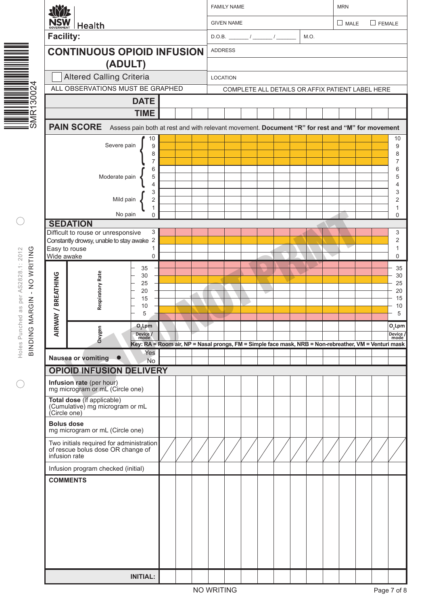| <b>AVYE</b><br><b>NSW</b><br><b>GIVEN NAME</b><br>$\Box$ MALE<br>Health<br><b>Facility:</b><br>M.O.<br><b>CONTINUOUS OPIOID INFUSION</b><br><b>ADDRESS</b><br>(ADULT)<br><b>Altered Calling Criteria</b><br>LOCATION<br>.0024<br>ALL OBSERVATIONS MUST BE GRAPHED<br>COMPLETE ALL DETAILS OR AFFIX PATIENT LABEL HERE<br><b>DATE</b><br>౹ౚఀ<br>SMR1<br><b>TIME</b><br><b>PAIN SCORE</b><br>Assess pain both at rest and with relevant movement. Document "R" for rest and "M" for movement<br>10<br>Severe pain<br>9<br>8<br>7<br>6<br>Moderate pain<br>5<br>4<br>3<br>Mild pain<br>2<br>$\mathbf{1}$<br>No pain<br>0<br><b>SEDATION</b><br>Difficult to rouse or unresponsive<br>$\ensuremath{\mathsf{3}}$<br>Constantly drowsy, unable to stay awake 2<br>Easy to rouse<br>1<br>MARGIN - NO WRITING<br>AS2828.1: 2012<br>Wide awake<br>0<br>35<br><b>Respiratory Rate</b><br>VAY / BREATHING<br>30<br>25<br>20<br>as per<br>15<br>10<br>5<br>$\overline{C}$<br>Holes Punch<br>$O_2$ Lpm<br><b>AIRM</b><br>Oxygen<br>BINDING<br>Device /<br>mode<br>Key: RA = Room air, NP = Nasal prongs, FM = Simple face mask, NRB = Non-rebreather, VM = Venturi mask<br>Yes<br><b>Nausea or vomiting</b><br>$\bullet$<br><b>No</b><br><b>OPIOID INFUSION DELIVERY</b><br>Infusion rate (per hour)<br>mg microgram or mL (Circle one) | $\Box$ FEMALE<br>10<br>9<br>8<br>7<br>6<br>5<br>4<br>3                                                                 |
|----------------------------------------------------------------------------------------------------------------------------------------------------------------------------------------------------------------------------------------------------------------------------------------------------------------------------------------------------------------------------------------------------------------------------------------------------------------------------------------------------------------------------------------------------------------------------------------------------------------------------------------------------------------------------------------------------------------------------------------------------------------------------------------------------------------------------------------------------------------------------------------------------------------------------------------------------------------------------------------------------------------------------------------------------------------------------------------------------------------------------------------------------------------------------------------------------------------------------------------------------------------------------------------------------------------------------|------------------------------------------------------------------------------------------------------------------------|
|                                                                                                                                                                                                                                                                                                                                                                                                                                                                                                                                                                                                                                                                                                                                                                                                                                                                                                                                                                                                                                                                                                                                                                                                                                                                                                                            |                                                                                                                        |
|                                                                                                                                                                                                                                                                                                                                                                                                                                                                                                                                                                                                                                                                                                                                                                                                                                                                                                                                                                                                                                                                                                                                                                                                                                                                                                                            |                                                                                                                        |
|                                                                                                                                                                                                                                                                                                                                                                                                                                                                                                                                                                                                                                                                                                                                                                                                                                                                                                                                                                                                                                                                                                                                                                                                                                                                                                                            |                                                                                                                        |
|                                                                                                                                                                                                                                                                                                                                                                                                                                                                                                                                                                                                                                                                                                                                                                                                                                                                                                                                                                                                                                                                                                                                                                                                                                                                                                                            |                                                                                                                        |
|                                                                                                                                                                                                                                                                                                                                                                                                                                                                                                                                                                                                                                                                                                                                                                                                                                                                                                                                                                                                                                                                                                                                                                                                                                                                                                                            |                                                                                                                        |
|                                                                                                                                                                                                                                                                                                                                                                                                                                                                                                                                                                                                                                                                                                                                                                                                                                                                                                                                                                                                                                                                                                                                                                                                                                                                                                                            |                                                                                                                        |
|                                                                                                                                                                                                                                                                                                                                                                                                                                                                                                                                                                                                                                                                                                                                                                                                                                                                                                                                                                                                                                                                                                                                                                                                                                                                                                                            |                                                                                                                        |
|                                                                                                                                                                                                                                                                                                                                                                                                                                                                                                                                                                                                                                                                                                                                                                                                                                                                                                                                                                                                                                                                                                                                                                                                                                                                                                                            |                                                                                                                        |
|                                                                                                                                                                                                                                                                                                                                                                                                                                                                                                                                                                                                                                                                                                                                                                                                                                                                                                                                                                                                                                                                                                                                                                                                                                                                                                                            | $\overline{2}$<br>1<br>0<br>3<br>2<br>1<br>0<br>35<br>30<br>25<br>20<br>15<br>10<br>5<br>$O_2$ Lpm<br>Device /<br>mode |
|                                                                                                                                                                                                                                                                                                                                                                                                                                                                                                                                                                                                                                                                                                                                                                                                                                                                                                                                                                                                                                                                                                                                                                                                                                                                                                                            |                                                                                                                        |
|                                                                                                                                                                                                                                                                                                                                                                                                                                                                                                                                                                                                                                                                                                                                                                                                                                                                                                                                                                                                                                                                                                                                                                                                                                                                                                                            |                                                                                                                        |
| Total dose (if applicable)<br>(Cumulative) mg microgram or mL<br>(Circle one)                                                                                                                                                                                                                                                                                                                                                                                                                                                                                                                                                                                                                                                                                                                                                                                                                                                                                                                                                                                                                                                                                                                                                                                                                                              |                                                                                                                        |
| <b>Bolus dose</b><br>mg microgram or mL (Circle one)                                                                                                                                                                                                                                                                                                                                                                                                                                                                                                                                                                                                                                                                                                                                                                                                                                                                                                                                                                                                                                                                                                                                                                                                                                                                       |                                                                                                                        |
| Two initials required for administration<br>of rescue bolus dose OR change of<br>infusion rate                                                                                                                                                                                                                                                                                                                                                                                                                                                                                                                                                                                                                                                                                                                                                                                                                                                                                                                                                                                                                                                                                                                                                                                                                             |                                                                                                                        |
| Infusion program checked (initial)                                                                                                                                                                                                                                                                                                                                                                                                                                                                                                                                                                                                                                                                                                                                                                                                                                                                                                                                                                                                                                                                                                                                                                                                                                                                                         |                                                                                                                        |
| <b>COMMENTS</b>                                                                                                                                                                                                                                                                                                                                                                                                                                                                                                                                                                                                                                                                                                                                                                                                                                                                                                                                                                                                                                                                                                                                                                                                                                                                                                            |                                                                                                                        |
| <b>INITIAL:</b>                                                                                                                                                                                                                                                                                                                                                                                                                                                                                                                                                                                                                                                                                                                                                                                                                                                                                                                                                                                                                                                                                                                                                                                                                                                                                                            |                                                                                                                        |
| NO WRITING                                                                                                                                                                                                                                                                                                                                                                                                                                                                                                                                                                                                                                                                                                                                                                                                                                                                                                                                                                                                                                                                                                                                                                                                                                                                                                                 |                                                                                                                        |